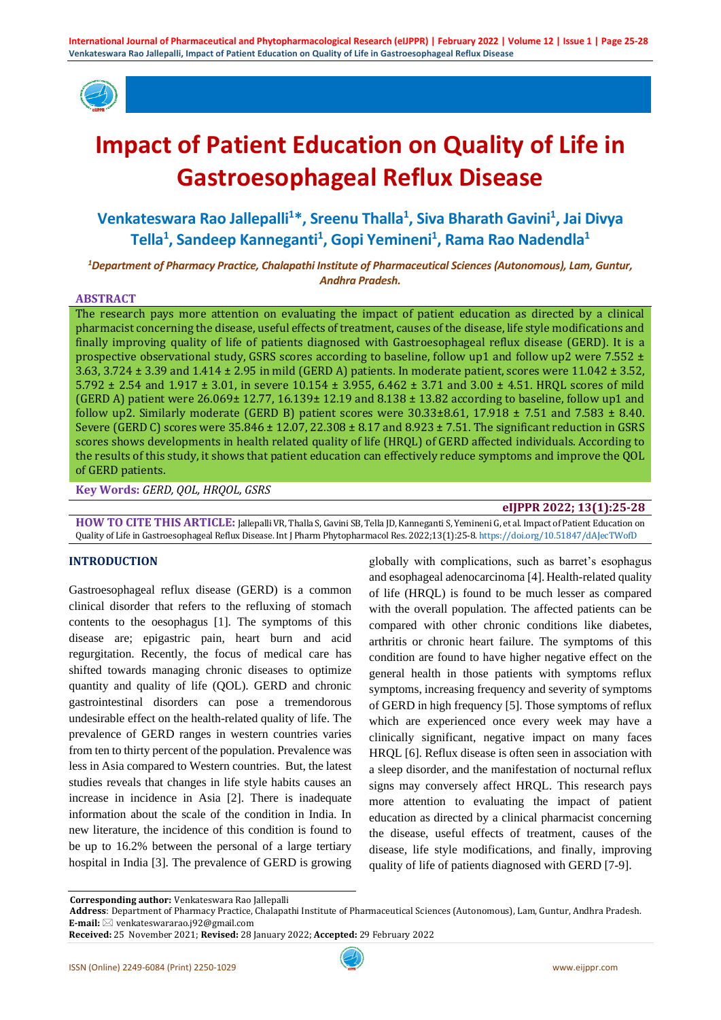

# **Impact of Patient Education on Quality of Life in Gastroesophageal Reflux Disease**

# **Venkateswara Rao Jallepalli<sup>1</sup>\*, Sreenu Thalla<sup>1</sup> , Siva Bharath Gavini<sup>1</sup> , Jai Divya Tella<sup>1</sup> , Sandeep Kanneganti<sup>1</sup> , Gopi Yemineni<sup>1</sup> , Rama Rao Nadendla<sup>1</sup>**

*<sup>1</sup>Department of Pharmacy Practice, Chalapathi Institute of Pharmaceutical Sciences (Autonomous), Lam, Guntur, Andhra Pradesh.*

#### **ABSTRACT**

The research pays more attention on evaluating the impact of patient education as directed by a clinical pharmacist concerning the disease, useful effects of treatment, causes of the disease, life style modifications and finally improving quality of life of patients diagnosed with Gastroesophageal reflux disease (GERD). It is a prospective observational study, GSRS scores according to baseline, follow up1 and follow up2 were 7.552 ± 3.63, 3.724 ± 3.39 and 1.414 ± 2.95 in mild (GERD A) patients. In moderate patient, scores were 11.042 ± 3.52, 5.792 ± 2.54 and 1.917 ± 3.01, in severe 10.154 ± 3.955, 6.462 ± 3.71 and 3.00 ± 4.51. HRQL scores of mild (GERD A) patient were  $26.069\pm 12.77$ , 16.139 $\pm$  12.19 and  $8.138\pm 13.82$  according to baseline, follow up1 and follow up2. Similarly moderate (GERD B) patient scores were  $30.33\pm8.61$ ,  $17.918 \pm 7.51$  and  $7.583 \pm 8.40$ . Severe (GERD C) scores were 35.846 ± 12.07, 22.308 ± 8.17 and 8.923 ± 7.51. The significant reduction in GSRS scores shows developments in health related quality of life (HRQL) of GERD affected individuals. According to the results of this study, it shows that patient education can effectively reduce symptoms and improve the QOL of GERD patients.

**Key Words:** *GERD, QOL, HRQOL, GSRS*

#### **eIJPPR 2022; 13(1):25-28**

**HOW TO CITE THIS ARTICLE:** Jallepalli VR, Thalla S, Gavini SB, Tella JD, Kanneganti S, Yemineni G, et al. Impact of Patient Education on Quality of Life in Gastroesophageal Reflux Disease. Int J Pharm Phytopharmacol Res. 2022;13(1):25-8. <https://doi.org/10.51847/dAJecTWofD>

#### **INTRODUCTION**

Gastroesophageal reflux disease (GERD) is a common clinical disorder that refers to the refluxing of stomach contents to the oesophagus [1]. The symptoms of this disease are; epigastric pain, heart burn and acid regurgitation. Recently, the focus of medical care has shifted towards managing chronic diseases to optimize quantity and quality of life (QOL). GERD and chronic gastrointestinal disorders can pose a tremendorous undesirable effect on the health-related quality of life. The prevalence of GERD ranges in western countries varies from ten to thirty percent of the population. Prevalence was less in Asia compared to Western countries. But, the latest studies reveals that changes in life style habits causes an increase in incidence in Asia [2]. There is inadequate information about the scale of the condition in India. In new literature, the incidence of this condition is found to be up to 16.2% between the personal of a large tertiary hospital in India [3]. The prevalence of GERD is growing

globally with complications, such as barret's esophagus and esophageal adenocarcinoma [4].Health-related quality of life (HRQL) is found to be much lesser as compared with the overall population. The affected patients can be compared with other chronic conditions like diabetes, arthritis or chronic heart failure. The symptoms of this condition are found to have higher negative effect on the general health in those patients with symptoms reflux symptoms, increasing frequency and severity of symptoms of GERD in high frequency [5]. Those symptoms of reflux which are experienced once every week may have a clinically significant, negative impact on many faces HRQL [6]. Reflux disease is often seen in association with a sleep disorder, and the manifestation of nocturnal reflux signs may conversely affect HRQL. This research pays more attention to evaluating the impact of patient education as directed by a clinical pharmacist concerning the disease, useful effects of treatment, causes of the disease, life style modifications, and finally, improving quality of life of patients diagnosed with GERD [7-9].

**Corresponding author:** Venkateswara Rao Jallepalli

**Address**: Department of Pharmacy Practice, Chalapathi Institute of Pharmaceutical Sciences (Autonomous), Lam, Guntur, Andhra Pradesh. **E-mail:** venkateswararao.j92@gmail.com

**Received:** 25 November 2021; **Revised:** 28 January 2022; **Accepted:** 29 February 2022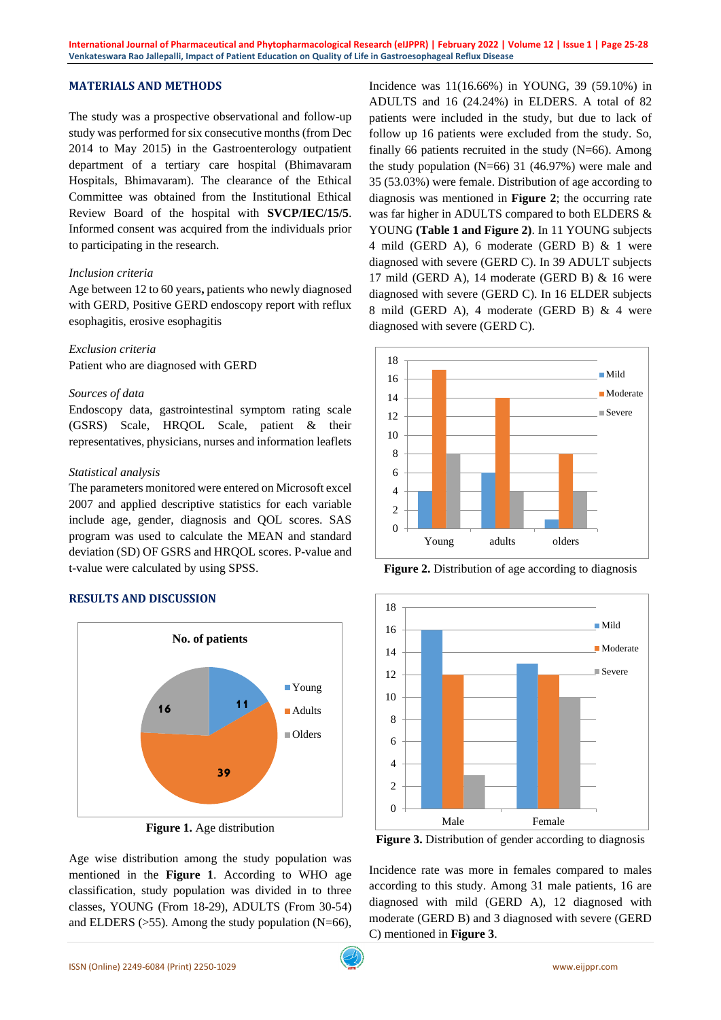# **MATERIALS AND METHODS**

The study was a prospective observational and follow-up study was performed for six consecutive months (from Dec 2014 to May 2015) in the Gastroenterology outpatient department of a tertiary care hospital (Bhimavaram Hospitals, Bhimavaram). The clearance of the Ethical Committee was obtained from the Institutional Ethical Review Board of the hospital with **SVCP/IEC/15/5**. Informed consent was acquired from the individuals prior to participating in the research.

#### *Inclusion criteria*

Age between 12 to 60 years**,** patients who newly diagnosed with GERD, Positive GERD endoscopy report with reflux esophagitis, erosive esophagitis

#### *Exclusion criteria*

Patient who are diagnosed with GERD

#### *Sources of data*

Endoscopy data, gastrointestinal symptom rating scale (GSRS) Scale, HRQOL Scale, patient & their representatives, physicians, nurses and information leaflets

#### *Statistical analysis*

The parameters monitored were entered on Microsoft excel 2007 and applied descriptive statistics for each variable include age, gender, diagnosis and QOL scores. SAS program was used to calculate the MEAN and standard deviation (SD) OF GSRS and HRQOL scores. P-value and t-value were calculated by using SPSS.

### **RESULTS AND DISCUSSION**



**Figure 1.** Age distribution

Age wise distribution among the study population was mentioned in the **Figure 1**. According to WHO age classification, study population was divided in to three classes, YOUNG (From 18-29), ADULTS (From 30-54) and ELDERS  $(>55)$ . Among the study population (N=66),

Incidence was 11(16.66%) in YOUNG, 39 (59.10%) in ADULTS and 16 (24.24%) in ELDERS. A total of 82 patients were included in the study, but due to lack of follow up 16 patients were excluded from the study. So, finally 66 patients recruited in the study  $(N=66)$ . Among the study population (N=66) 31 (46.97%) were male and 35 (53.03%) were female. Distribution of age according to diagnosis was mentioned in **Figure 2**; the occurring rate was far higher in ADULTS compared to both ELDERS & YOUNG **(Table 1 and Figure 2)**. In 11 YOUNG subjects 4 mild (GERD A), 6 moderate (GERD B) & 1 were diagnosed with severe (GERD C). In 39 ADULT subjects 17 mild (GERD A), 14 moderate (GERD B) & 16 were diagnosed with severe (GERD C). In 16 ELDER subjects 8 mild (GERD A), 4 moderate (GERD B) & 4 were diagnosed with severe (GERD C).



**Figure 2.** Distribution of age according to diagnosis



Figure 3. Distribution of gender according to diagnosis

Incidence rate was more in females compared to males according to this study. Among 31 male patients, 16 are diagnosed with mild (GERD A), 12 diagnosed with moderate (GERD B) and 3 diagnosed with severe (GERD C) mentioned in **Figure 3**.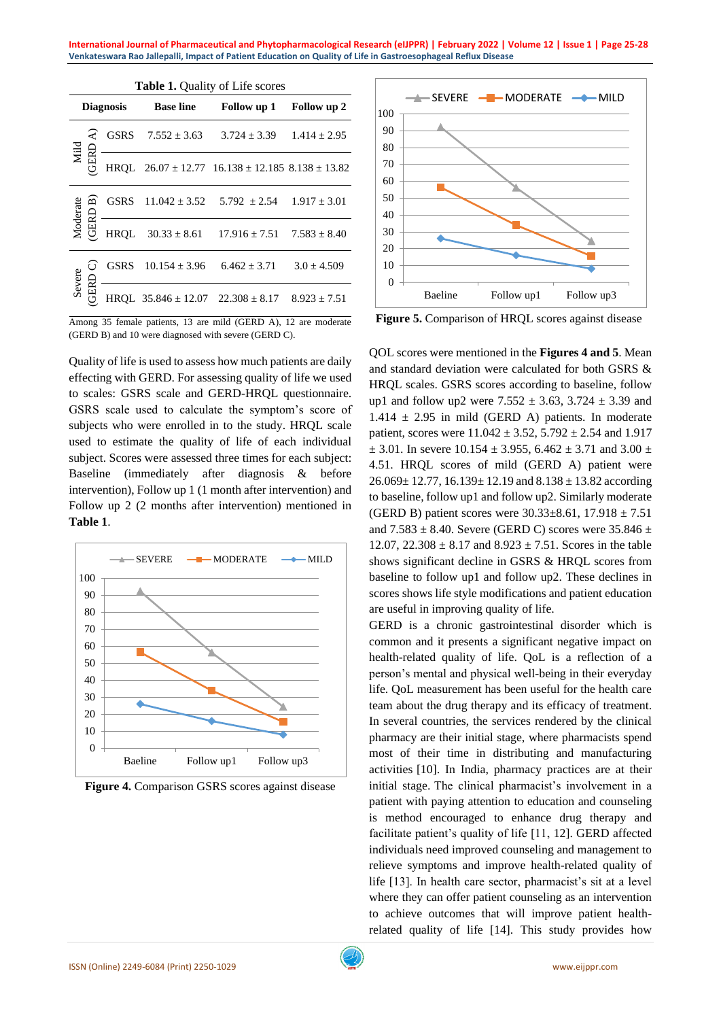**International Journal of Pharmaceutical and Phytopharmacological Research (eIJPPR) | February 2022 | Volume 12 | Issue 1 | Page 25-28 Venkateswara Rao Jallepalli, Impact of Patient Education on Quality of Life in Gastroesophageal Reflux Disease**

| <b>Table 1.</b> Quality of Life scores |                                 |             |                                           |                                                              |                  |
|----------------------------------------|---------------------------------|-------------|-------------------------------------------|--------------------------------------------------------------|------------------|
| <b>Diagnosis</b>                       |                                 |             | <b>Base line</b>                          | Follow up 1                                                  | Follow up 2      |
| Mild                                   | ₹<br>GERD                       | <b>GSRS</b> | $7.552 \pm 3.63$                          | $3.724 + 3.39$                                               | $1.414 + 2.95$   |
|                                        |                                 |             |                                           | HRQL $26.07 \pm 12.77$ $16.138 \pm 12.185$ $8.138 \pm 13.82$ |                  |
| Moderate                               | $\overline{\mathbf{m}}$<br>GERD | GSRS        | $11.042 \pm 3.52$                         | $5.792 \pm 2.54$                                             | $1.917 \pm 3.01$ |
|                                        |                                 | <b>HRQL</b> | $30.33 \pm 8.61$                          | $17.916 \pm 7.51$                                            | $7.583 \pm 8.40$ |
| Severe                                 | ؘن<br>GERD                      | <b>GSRS</b> | $10.154 \pm 3.96$                         | $6.462 + 3.71$                                               | $3.0 \pm 4.509$  |
|                                        |                                 |             | HRQL $35.846 \pm 12.07$ $22.308 \pm 8.17$ |                                                              | $8.923 + 7.51$   |

Among 35 female patients, 13 are mild (GERD A), 12 are moderate (GERD B) and 10 were diagnosed with severe (GERD C).

Quality of life is used to assess how much patients are daily effecting with GERD. For assessing quality of life we used to scales: GSRS scale and GERD-HRQL questionnaire. GSRS scale used to calculate the symptom's score of subjects who were enrolled in to the study. HRQL scale used to estimate the quality of life of each individual subject. Scores were assessed three times for each subject: Baseline (immediately after diagnosis & before intervention), Follow up 1 (1 month after intervention) and Follow up 2 (2 months after intervention) mentioned in **Table 1**.



**Figure 4.** Comparison GSRS scores against disease



**Figure 5.** Comparison of HRQL scores against disease

QOL scores were mentioned in the **Figures 4 and 5**. Mean and standard deviation were calculated for both GSRS & HRQL scales. GSRS scores according to baseline, follow up1 and follow up2 were  $7.552 \pm 3.63$ ,  $3.724 \pm 3.39$  and  $1.414 \pm 2.95$  in mild (GERD A) patients. In moderate patient, scores were  $11.042 \pm 3.52$ ,  $5.792 \pm 2.54$  and  $1.917$  $\pm$  3.01. In severe 10.154  $\pm$  3.955, 6.462  $\pm$  3.71 and 3.00  $\pm$ 4.51. HRQL scores of mild (GERD A) patient were  $26.069 \pm 12.77$ ,  $16.139 \pm 12.19$  and  $8.138 \pm 13.82$  according to baseline, follow up1 and follow up2. Similarly moderate (GERD B) patient scores were  $30.33 \pm 8.61$ ,  $17.918 \pm 7.51$ and  $7.583 \pm 8.40$ . Severe (GERD C) scores were  $35.846 \pm 1.00$ 12.07,  $22.308 \pm 8.17$  and  $8.923 \pm 7.51$ . Scores in the table shows significant decline in GSRS & HRQL scores from baseline to follow up1 and follow up2. These declines in scores shows life style modifications and patient education are useful in improving quality of life.

GERD is a chronic gastrointestinal disorder which is common and it presents a significant negative impact on health-related quality of life. QoL is a reflection of a person's mental and physical well-being in their everyday life. QoL measurement has been useful for the health care team about the drug therapy and its efficacy of treatment. In several countries, the services rendered by the clinical pharmacy are their initial stage, where pharmacists spend most of their time in distributing and manufacturing activities [10]. In India, pharmacy practices are at their initial stage. The clinical pharmacist's involvement in a patient with paying attention to education and counseling is method encouraged to enhance drug therapy and facilitate patient's quality of life [11, 12]. GERD affected individuals need improved counseling and management to relieve symptoms and improve health-related quality of life [13]. In health care sector, pharmacist's sit at a level where they can offer patient counseling as an intervention to achieve outcomes that will improve patient healthrelated quality of life [14]. This study provides how